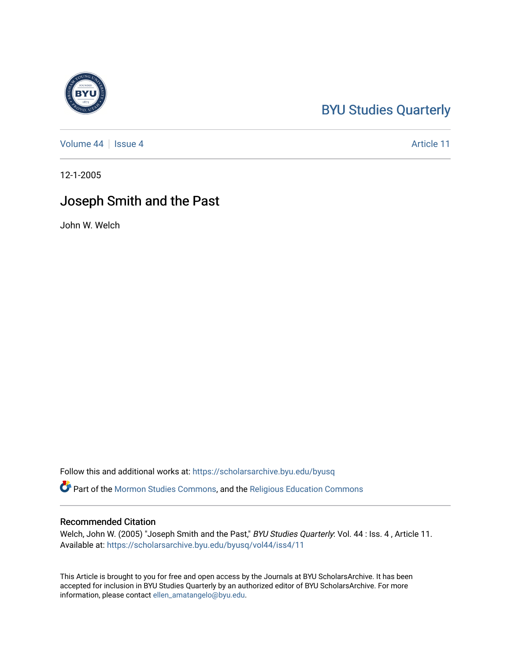# [BYU Studies Quarterly](https://scholarsarchive.byu.edu/byusq)

[Volume 44](https://scholarsarchive.byu.edu/byusq/vol44) | [Issue 4](https://scholarsarchive.byu.edu/byusq/vol44/iss4) Article 11

12-1-2005

## Joseph Smith and the Past

John W. Welch

Follow this and additional works at: [https://scholarsarchive.byu.edu/byusq](https://scholarsarchive.byu.edu/byusq?utm_source=scholarsarchive.byu.edu%2Fbyusq%2Fvol44%2Fiss4%2F11&utm_medium=PDF&utm_campaign=PDFCoverPages) 

Part of the [Mormon Studies Commons](http://network.bepress.com/hgg/discipline/1360?utm_source=scholarsarchive.byu.edu%2Fbyusq%2Fvol44%2Fiss4%2F11&utm_medium=PDF&utm_campaign=PDFCoverPages), and the [Religious Education Commons](http://network.bepress.com/hgg/discipline/1414?utm_source=scholarsarchive.byu.edu%2Fbyusq%2Fvol44%2Fiss4%2F11&utm_medium=PDF&utm_campaign=PDFCoverPages) 

## Recommended Citation

Welch, John W. (2005) "Joseph Smith and the Past," BYU Studies Quarterly: Vol. 44 : Iss. 4, Article 11. Available at: [https://scholarsarchive.byu.edu/byusq/vol44/iss4/11](https://scholarsarchive.byu.edu/byusq/vol44/iss4/11?utm_source=scholarsarchive.byu.edu%2Fbyusq%2Fvol44%2Fiss4%2F11&utm_medium=PDF&utm_campaign=PDFCoverPages) 

This Article is brought to you for free and open access by the Journals at BYU ScholarsArchive. It has been accepted for inclusion in BYU Studies Quarterly by an authorized editor of BYU ScholarsArchive. For more information, please contact [ellen\\_amatangelo@byu.edu.](mailto:ellen_amatangelo@byu.edu)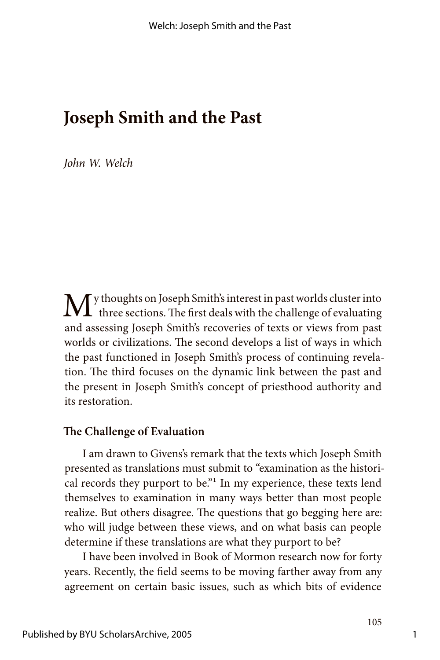## **Joseph Smith and the Past**

*John W. Welch*

My thoughts on Joseph Smith's interest in past worlds cluster into<br>three sections. The first deals with the challenge of evaluating and assessing Joseph Smith's recoveries of texts or views from past worlds or civilizations. The second develops a list of ways in which the past functioned in Joseph Smith's process of continuing revelation. The third focuses on the dynamic link between the past and the present in Joseph Smith's concept of priesthood authority and its restoration.

## **The Challenge of Evaluation**

 I am drawn to Givens's remark that the texts which Joseph Smith presented as translations must submit to "examination as the historical records they purport to be."<sup>1</sup> In my experience, these texts lend themselves to examination in many ways better than most people realize. But others disagree. The questions that go begging here are: who will judge between these views, and on what basis can people determine if these translations are what they purport to be?

 I have been involved in Book of Mormon research now for forty years. Recently, the field seems to be moving farther away from any agreement on certain basic issues, such as which bits of evidence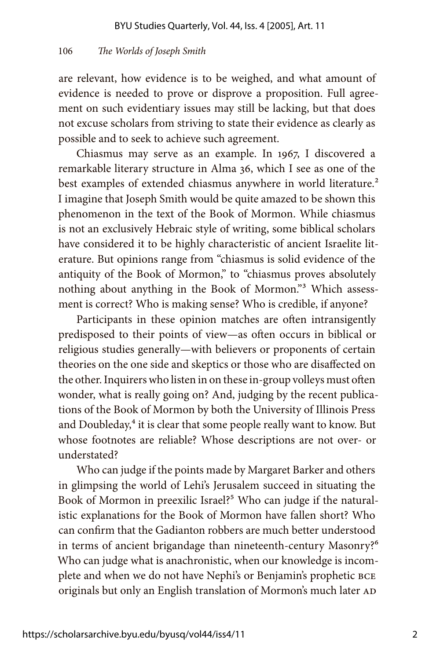are relevant, how evidence is to be weighed, and what amount of evidence is needed to prove or disprove a proposition. Full agreement on such evidentiary issues may still be lacking, but that does not excuse scholars from striving to state their evidence as clearly as possible and to seek to achieve such agreement.

Chiasmus may serve as an example. In 1967, I discovered a remarkable literary structure in Alma 36, which I see as one of the best examples of extended chiasmus anywhere in world literature.<sup>2</sup> I imagine that Joseph Smith would be quite amazed to be shown this phenomenon in the text of the Book of Mormon. While chiasmus is not an exclusively Hebraic style of writing, some biblical scholars have considered it to be highly characteristic of ancient Israelite literature. But opinions range from "chiasmus is solid evidence of the antiquity of the Book of Mormon," to "chiasmus proves absolutely nothing about anything in the Book of Mormon." Which assessment is correct? Who is making sense? Who is credible, if anyone?

 Participants in these opinion matches are often intransigently predisposed to their points of view—as often occurs in biblical or religious studies generally—with believers or proponents of certain theories on the one side and skeptics or those who are disaffected on the other. Inquirers who listen in on these in-group volleys must often wonder, what is really going on? And, judging by the recent publications of the Book of Mormon by both the University of Illinois Press and Doubleday,<sup>4</sup> it is clear that some people really want to know. But whose footnotes are reliable? Whose descriptions are not over- or understated?

 Who can judge if the points made by Margaret Barker and others in glimpsing the world of Lehi's Jerusalem succeed in situating the Book of Mormon in preexilic Israel?<sup>5</sup> Who can judge if the naturalistic explanations for the Book of Mormon have fallen short? Who can confirm that the Gadianton robbers are much better understood in terms of ancient brigandage than nineteenth-century Masonry?<sup>6</sup> Who can judge what is anachronistic, when our knowledge is incomplete and when we do not have Nephi's or Benjamin's prophetic bce originals but only an English translation of Mormon's much later AD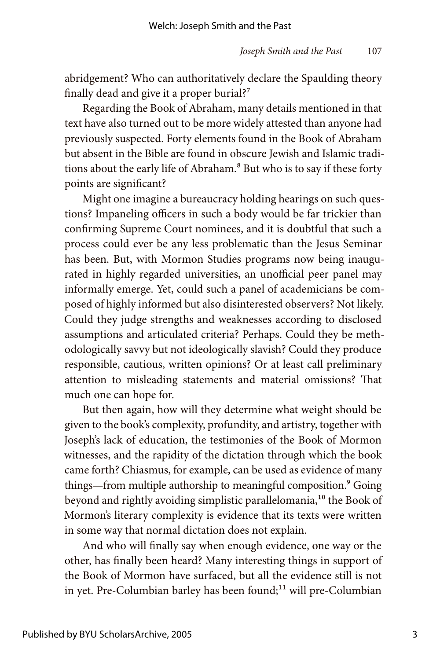abridgement? Who can authoritatively declare the Spaulding theory finally dead and give it a proper burial?<sup>7</sup>

 Regarding the Book of Abraham, many details mentioned in that text have also turned out to be more widely attested than anyone had previously suspected. Forty elements found in the Book of Abraham but absent in the Bible are found in obscure Jewish and Islamic traditions about the early life of Abraham.<sup>8</sup> But who is to say if these forty points are significant?

 Might one imagine a bureaucracy holding hearings on such questions? Impaneling officers in such a body would be far trickier than confirming Supreme Court nominees, and it is doubtful that such a process could ever be any less problematic than the Jesus Seminar has been. But, with Mormon Studies programs now being inaugurated in highly regarded universities, an unofficial peer panel may informally emerge. Yet, could such a panel of academicians be composed of highly informed but also disinterested observers? Not likely. Could they judge strengths and weaknesses according to disclosed assumptions and articulated criteria? Perhaps. Could they be methodologically savvy but not ideologically slavish? Could they produce responsible, cautious, written opinions? Or at least call preliminary attention to misleading statements and material omissions? That much one can hope for.

 But then again, how will they determine what weight should be given to the book's complexity, profundity, and artistry, together with Joseph's lack of education, the testimonies of the Book of Mormon witnesses, and the rapidity of the dictation through which the book came forth? Chiasmus, for example, can be used as evidence of many things—from multiple authorship to meaningful composition.<sup>9</sup> Going beyond and rightly avoiding simplistic parallelomania,<sup>10</sup> the Book of Mormon's literary complexity is evidence that its texts were written in some way that normal dictation does not explain.

 And who will finally say when enough evidence, one way or the other, has finally been heard? Many interesting things in support of the Book of Mormon have surfaced, but all the evidence still is not in yet. Pre-Columbian barley has been found;<sup>11</sup> will pre-Columbian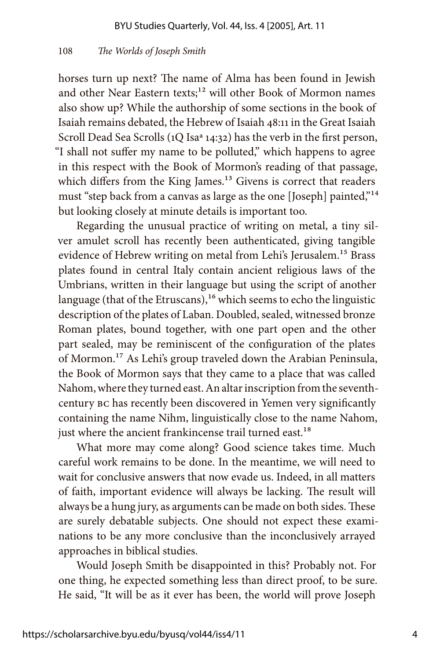horses turn up next? The name of Alma has been found in Jewish and other Near Eastern texts;<sup>12</sup> will other Book of Mormon names also show up? While the authorship of some sections in the book of Isaiah remains debated, the Hebrew of Isaiah 48:11 in the Great Isaiah Scroll Dead Sea Scrolls (1Q Isa<sup>a</sup> 14:32) has the verb in the first person, "I shall not suffer my name to be polluted," which happens to agree in this respect with the Book of Mormon's reading of that passage, which differs from the King James.<sup>13</sup> Givens is correct that readers must "step back from a canvas as large as the one [Joseph] painted,"<sup>14</sup> but looking closely at minute details is important too.

 Regarding the unusual practice of writing on metal, a tiny silver amulet scroll has recently been authenticated, giving tangible evidence of Hebrew writing on metal from Lehi's Jerusalem.<sup>15</sup> Brass plates found in central Italy contain ancient religious laws of the Umbrians, written in their language but using the script of another language (that of the Etruscans),<sup>16</sup> which seems to echo the linguistic description of the plates of Laban. Doubled, sealed, witnessed bronze Roman plates, bound together, with one part open and the other part sealed, may be reminiscent of the configuration of the plates of Mormon.<sup>17</sup> As Lehi's group traveled down the Arabian Peninsula, the Book of Mormon says that they came to a place that was called Nahom, where they turned east. An altar inscription from the seventhcentury bc has recently been discovered in Yemen very significantly containing the name Nihm, linguistically close to the name Nahom, just where the ancient frankincense trail turned east.<sup>18</sup>

 What more may come along? Good science takes time. Much careful work remains to be done. In the meantime, we will need to wait for conclusive answers that now evade us. Indeed, in all matters of faith, important evidence will always be lacking. The result will always be a hung jury, as arguments can be made on both sides. These are surely debatable subjects. One should not expect these examinations to be any more conclusive than the inconclusively arrayed approaches in biblical studies.

 Would Joseph Smith be disappointed in this? Probably not. For one thing, he expected something less than direct proof, to be sure. He said, "It will be as it ever has been, the world will prove Joseph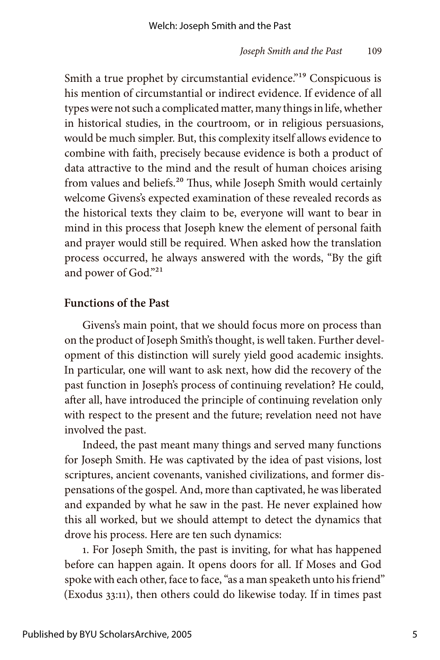Smith a true prophet by circumstantial evidence."<sup>19</sup> Conspicuous is his mention of circumstantial or indirect evidence. If evidence of all types were not such a complicated matter, many things in life, whether in historical studies, in the courtroom, or in religious persuasions, would be much simpler. But, this complexity itself allows evidence to combine with faith, precisely because evidence is both a product of data attractive to the mind and the result of human choices arising from values and beliefs.<sup>20</sup> Thus, while Joseph Smith would certainly welcome Givens's expected examination of these revealed records as the historical texts they claim to be, everyone will want to bear in mind in this process that Joseph knew the element of personal faith and prayer would still be required. When asked how the translation process occurred, he always answered with the words, "By the gift and power of God."21

## **Functions of the Past**

 Givens's main point, that we should focus more on process than on the product of Joseph Smith's thought, is well taken. Further development of this distinction will surely yield good academic insights. In particular, one will want to ask next, how did the recovery of the past function in Joseph's process of continuing revelation? He could, after all, have introduced the principle of continuing revelation only with respect to the present and the future; revelation need not have involved the past.

 Indeed, the past meant many things and served many functions for Joseph Smith. He was captivated by the idea of past visions, lost scriptures, ancient covenants, vanished civilizations, and former dispensations of the gospel. And, more than captivated, he was liberated and expanded by what he saw in the past. He never explained how this all worked, but we should attempt to detect the dynamics that drove his process. Here are ten such dynamics:

 . For Joseph Smith, the past is inviting, for what has happened before can happen again. It opens doors for all. If Moses and God spoke with each other, face to face, "as a man speaketh unto his friend" (Exodus 33:11), then others could do likewise today. If in times past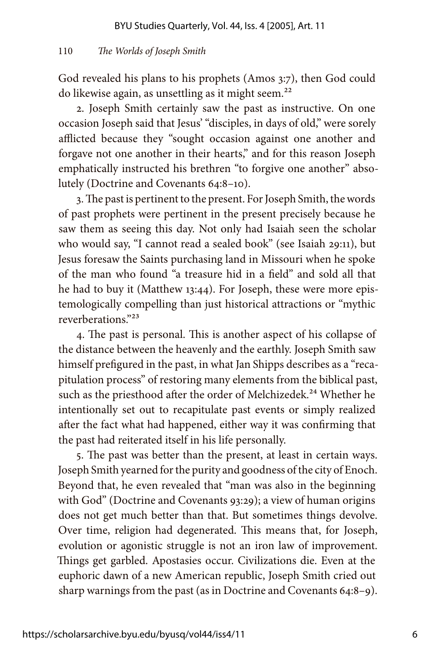God revealed his plans to his prophets (Amos 3:7), then God could do likewise again, as unsettling as it might seem.<sup>22</sup>

 2. Joseph Smith certainly saw the past as instructive. On one occasion Joseph said that Jesus' "disciples, in days of old," were sorely afflicted because they "sought occasion against one another and forgave not one another in their hearts," and for this reason Joseph emphatically instructed his brethren "to forgive one another" absolutely (Doctrine and Covenants 64:8-10).

 3. The past is pertinent to the present. For Joseph Smith, the words of past prophets were pertinent in the present precisely because he saw them as seeing this day. Not only had Isaiah seen the scholar who would say, "I cannot read a sealed book" (see Isaiah 29:11), but Jesus foresaw the Saints purchasing land in Missouri when he spoke of the man who found "a treasure hid in a field" and sold all that he had to buy it (Matthew 13:44). For Joseph, these were more epistemologically compelling than just historical attractions or "mythic reverberations."<sup>23</sup>

 4. The past is personal. This is another aspect of his collapse of the distance between the heavenly and the earthly. Joseph Smith saw himself prefigured in the past, in what Jan Shipps describes as a "recapitulation process" of restoring many elements from the biblical past, such as the priesthood after the order of Melchizedek.<sup>24</sup> Whether he intentionally set out to recapitulate past events or simply realized after the fact what had happened, either way it was confirming that the past had reiterated itself in his life personally.

 5. The past was better than the present, at least in certain ways. Joseph Smith yearned for the purity and goodness of the city of Enoch. Beyond that, he even revealed that "man was also in the beginning with God" (Doctrine and Covenants 93:29); a view of human origins does not get much better than that. But sometimes things devolve. Over time, religion had degenerated. This means that, for Joseph, evolution or agonistic struggle is not an iron law of improvement. Things get garbled. Apostasies occur. Civilizations die. Even at the euphoric dawn of a new American republic, Joseph Smith cried out sharp warnings from the past (as in Doctrine and Covenants 64:8–9).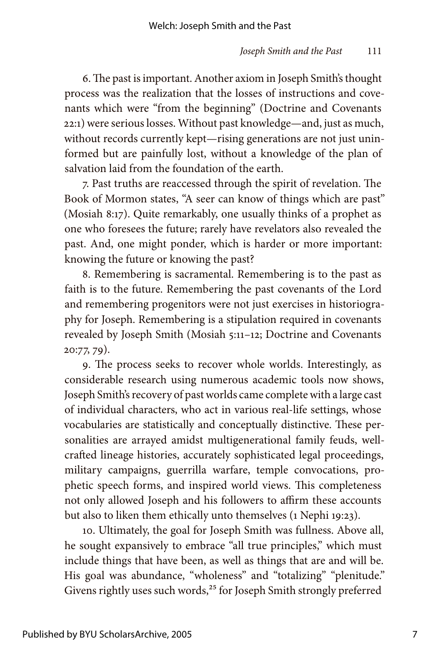6. The past is important. Another axiom in Joseph Smith's thought process was the realization that the losses of instructions and covenants which were "from the beginning" (Doctrine and Covenants 22:) were serious losses. Without past knowledge—and, just as much, without records currently kept—rising generations are not just uninformed but are painfully lost, without a knowledge of the plan of salvation laid from the foundation of the earth.

 7. Past truths are reaccessed through the spirit of revelation. The Book of Mormon states, "A seer can know of things which are past" (Mosiah 8:7). Quite remarkably, one usually thinks of a prophet as one who foresees the future; rarely have revelators also revealed the past. And, one might ponder, which is harder or more important: knowing the future or knowing the past?

 8. Remembering is sacramental. Remembering is to the past as faith is to the future. Remembering the past covenants of the Lord and remembering progenitors were not just exercises in historiography for Joseph. Remembering is a stipulation required in covenants revealed by Joseph Smith (Mosiah 5:11-12; Doctrine and Covenants 20:77, 79).

 9. The process seeks to recover whole worlds. Interestingly, as considerable research using numerous academic tools now shows, Joseph Smith's recovery of past worlds came complete with a large cast of individual characters, who act in various real-life settings, whose vocabularies are statistically and conceptually distinctive. These personalities are arrayed amidst multigenerational family feuds, wellcrafted lineage histories, accurately sophisticated legal proceedings, military campaigns, guerrilla warfare, temple convocations, prophetic speech forms, and inspired world views. This completeness not only allowed Joseph and his followers to affirm these accounts but also to liken them ethically unto themselves (1 Nephi 19:23).

 0. Ultimately, the goal for Joseph Smith was fullness. Above all, he sought expansively to embrace "all true principles," which must include things that have been, as well as things that are and will be. His goal was abundance, "wholeness" and "totalizing" "plenitude." Givens rightly uses such words,<sup>25</sup> for Joseph Smith strongly preferred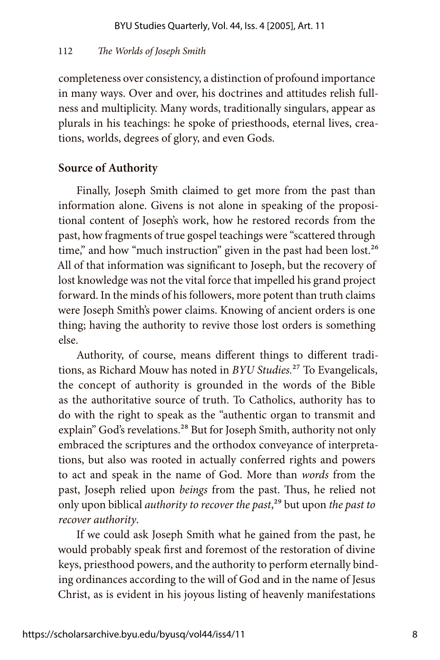completeness over consistency, a distinction of profound importance in many ways. Over and over, his doctrines and attitudes relish fullness and multiplicity. Many words, traditionally singulars, appear as plurals in his teachings: he spoke of priesthoods, eternal lives, creations, worlds, degrees of glory, and even Gods.

## **Source of Authority**

 Finally, Joseph Smith claimed to get more from the past than information alone. Givens is not alone in speaking of the propositional content of Joseph's work, how he restored records from the past, how fragments of true gospel teachings were "scattered through time," and how "much instruction" given in the past had been lost.<sup>26</sup> All of that information was significant to Joseph, but the recovery of lost knowledge was not the vital force that impelled his grand project forward. In the minds of his followers, more potent than truth claims were Joseph Smith's power claims. Knowing of ancient orders is one thing; having the authority to revive those lost orders is something else.

 Authority, of course, means different things to different traditions, as Richard Mouw has noted in *BYU Studies*.<sup>27</sup> To Evangelicals, the concept of authority is grounded in the words of the Bible as the authoritative source of truth. To Catholics, authority has to do with the right to speak as the "authentic organ to transmit and explain" God's revelations.<sup>28</sup> But for Joseph Smith, authority not only embraced the scriptures and the orthodox conveyance of interpretations, but also was rooted in actually conferred rights and powers to act and speak in the name of God. More than *words* from the past, Joseph relied upon *beings* from the past. Thus, he relied not only upon biblical *authority to recover the past*,<sup>29</sup> but upon *the past to recover authority*.

 If we could ask Joseph Smith what he gained from the past, he would probably speak first and foremost of the restoration of divine keys, priesthood powers, and the authority to perform eternally binding ordinances according to the will of God and in the name of Jesus Christ, as is evident in his joyous listing of heavenly manifestations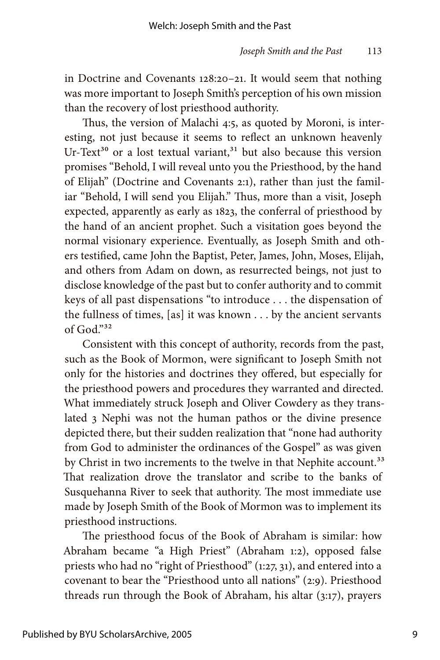in Doctrine and Covenants 128:20-21. It would seem that nothing was more important to Joseph Smith's perception of his own mission than the recovery of lost priesthood authority.

 Thus, the version of Malachi 4:5, as quoted by Moroni, is interesting, not just because it seems to reflect an unknown heavenly Ur-Text<sup>30</sup> or a lost textual variant,<sup>31</sup> but also because this version promises "Behold, I will reveal unto you the Priesthood, by the hand of Elijah" (Doctrine and Covenants 2:1), rather than just the familiar "Behold, I will send you Elijah." Thus, more than a visit, Joseph expected, apparently as early as 1823, the conferral of priesthood by the hand of an ancient prophet. Such a visitation goes beyond the normal visionary experience. Eventually, as Joseph Smith and others testified, came John the Baptist, Peter, James, John, Moses, Elijah, and others from Adam on down, as resurrected beings, not just to disclose knowledge of the past but to confer authority and to commit keys of all past dispensations "to introduce . . . the dispensation of the fullness of times, [as] it was known . . . by the ancient servants of God."32

 Consistent with this concept of authority, records from the past, such as the Book of Mormon, were significant to Joseph Smith not only for the histories and doctrines they offered, but especially for the priesthood powers and procedures they warranted and directed. What immediately struck Joseph and Oliver Cowdery as they translated 3 Nephi was not the human pathos or the divine presence depicted there, but their sudden realization that "none had authority from God to administer the ordinances of the Gospel" as was given by Christ in two increments to the twelve in that Nephite account.<sup>33</sup> That realization drove the translator and scribe to the banks of Susquehanna River to seek that authority. The most immediate use made by Joseph Smith of the Book of Mormon was to implement its priesthood instructions.

 The priesthood focus of the Book of Abraham is similar: how Abraham became "a High Priest" (Abraham 1:2), opposed false priests who had no "right of Priesthood" (1:27, 31), and entered into a covenant to bear the "Priesthood unto all nations" (2:9). Priesthood threads run through the Book of Abraham, his altar (3:17), prayers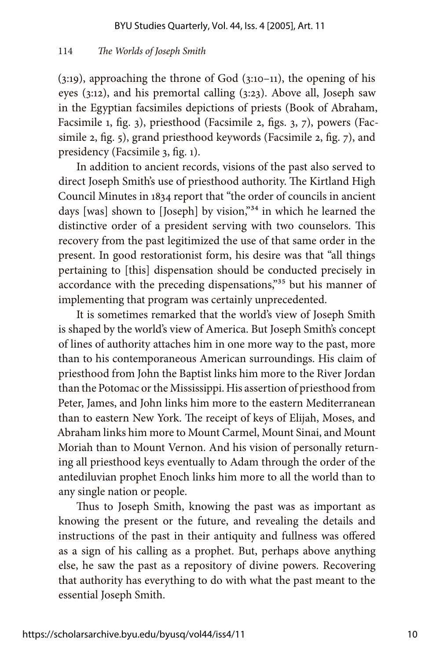$(3:19)$ , approaching the throne of God  $(3:10-11)$ , the opening of his eyes (3:2), and his premortal calling (3:23). Above all, Joseph saw in the Egyptian facsimiles depictions of priests (Book of Abraham, Facsimile 1, fig. 3), priesthood (Facsimile 2, figs. 3, 7), powers (Facsimile 2, fig. 5), grand priesthood keywords (Facsimile 2, fig. 7), and presidency (Facsimile 3, fig. ).

 In addition to ancient records, visions of the past also served to direct Joseph Smith's use of priesthood authority. The Kirtland High Council Minutes in 834 report that "the order of councils in ancient days [was] shown to [Joseph] by vision," $34$  in which he learned the distinctive order of a president serving with two counselors. This recovery from the past legitimized the use of that same order in the present. In good restorationist form, his desire was that "all things pertaining to [this] dispensation should be conducted precisely in accordance with the preceding dispensations,"<sup>35</sup> but his manner of implementing that program was certainly unprecedented.

 It is sometimes remarked that the world's view of Joseph Smith is shaped by the world's view of America. But Joseph Smith's concept of lines of authority attaches him in one more way to the past, more than to his contemporaneous American surroundings. His claim of priesthood from John the Baptist links him more to the River Jordan than the Potomac or the Mississippi. His assertion of priesthood from Peter, James, and John links him more to the eastern Mediterranean than to eastern New York. The receipt of keys of Elijah, Moses, and Abraham links him more to Mount Carmel, Mount Sinai, and Mount Moriah than to Mount Vernon. And his vision of personally returning all priesthood keys eventually to Adam through the order of the antediluvian prophet Enoch links him more to all the world than to any single nation or people.

 Thus to Joseph Smith, knowing the past was as important as knowing the present or the future, and revealing the details and instructions of the past in their antiquity and fullness was offered as a sign of his calling as a prophet. But, perhaps above anything else, he saw the past as a repository of divine powers. Recovering that authority has everything to do with what the past meant to the essential Joseph Smith.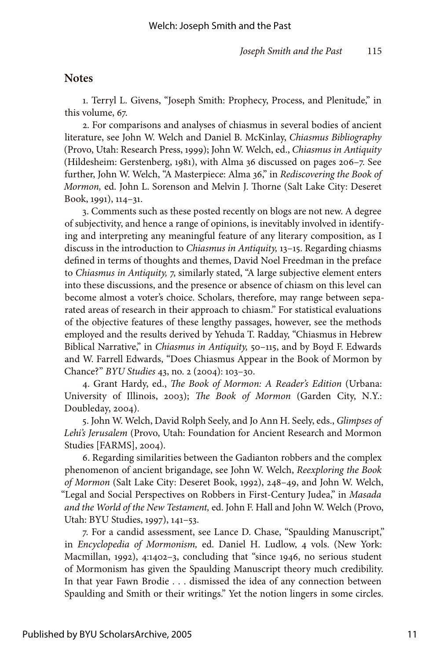## **Notes**

 . Terryl L. Givens, "Joseph Smith: Prophecy, Process, and Plenitude," in this volume, 67.

 2. For comparisons and analyses of chiasmus in several bodies of ancient literature, see John W. Welch and Daniel B. McKinlay, *Chiasmus Bibliography* (Provo, Utah: Research Press, 999); John W. Welch, ed., *Chiasmus in Antiquity* (Hildesheim: Gerstenberg, 98), with Alma 36 discussed on pages 206–7. See further, John W. Welch, "A Masterpiece: Alma 36," in *Rediscovering the Book of Mormon,* ed. John L. Sorenson and Melvin J. Thorne (Salt Lake City: Deseret Book, 1991), 114–31.

 3. Comments such as these posted recently on blogs are not new. A degree of subjectivity, and hence a range of opinions, is inevitably involved in identifying and interpreting any meaningful feature of any literary composition, as I discuss in the introduction to *Chiasmus in Antiquity*, 13–15. Regarding chiasms defined in terms of thoughts and themes, David Noel Freedman in the preface to *Chiasmus in Antiquity,* 7, similarly stated, "A large subjective element enters into these discussions, and the presence or absence of chiasm on this level can become almost a voter's choice. Scholars, therefore, may range between separated areas of research in their approach to chiasm." For statistical evaluations of the objective features of these lengthy passages, however, see the methods employed and the results derived by Yehuda T. Radday, "Chiasmus in Hebrew Biblical Narrative," in *Chiasmus in Antiquity*, 50-115, and by Boyd F. Edwards and W. Farrell Edwards, "Does Chiasmus Appear in the Book of Mormon by Chance?" *BYU Studies* 43, no. 2 (2004): 03–30.

 4. Grant Hardy, ed., *The Book of Mormon: A Reader's Edition* (Urbana: University of Illinois, 2003); *The Book of Mormon* (Garden City, N.Y.: Doubleday, 2004).

 5. John W. Welch, David Rolph Seely, and Jo Ann H. Seely, eds., *Glimpses of Lehi's Jerusalem* (Provo, Utah: Foundation for Ancient Research and Mormon Studies [FARMS], 2004).

 6. Regarding similarities between the Gadianton robbers and the complex phenomenon of ancient brigandage, see John W. Welch, *Reexploring the Book of Mormon* (Salt Lake City: Deseret Book, 992), 248–49, and John W. Welch, "Legal and Social Perspectives on Robbers in First-Century Judea," in *Masada and the World of the New Testament,* ed. John F. Hall and John W. Welch (Provo, Utah: BYU Studies, 1997), 141-53.

 7. For a candid assessment, see Lance D. Chase, "Spaulding Manuscript," in *Encyclopedia of Mormonism,* ed. Daniel H. Ludlow, 4 vols. (New York: Macmillan, 1992), 4:1402-3, concluding that "since 1946, no serious student of Mormonism has given the Spaulding Manuscript theory much credibility. In that year Fawn Brodie . . . dismissed the idea of any connection between Spaulding and Smith or their writings." Yet the notion lingers in some circles.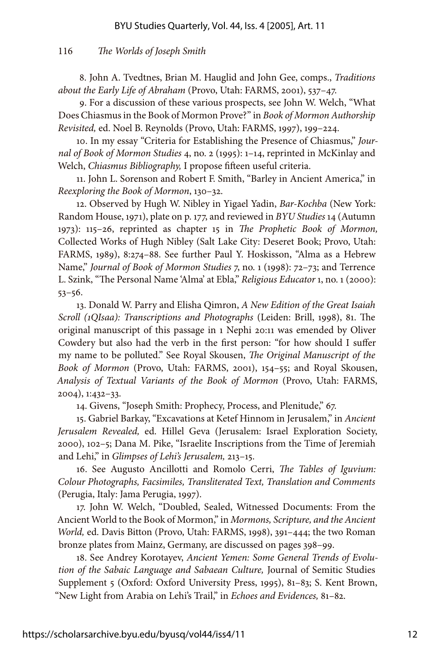8. John A. Tvedtnes, Brian M. Hauglid and John Gee, comps., *Traditions about the Early Life of Abraham* (Provo, Utah: FARMS, 200), 537–47.

 9. For a discussion of these various prospects, see John W. Welch, "What Does Chiasmus in the Book of Mormon Prove?" in *Book of Mormon Authorship Revisited,* ed. Noel B. Reynolds (Provo, Utah: FARMS, 997), 99–224.

 0. In my essay "Criteria for Establishing the Presence of Chiasmus," *Jour*nal of Book of Mormon Studies 4, no. 2 (1995): 1-14, reprinted in McKinlay and Welch, *Chiasmus Bibliography,* I propose fifteen useful criteria.

 . John L. Sorenson and Robert F. Smith, "Barley in Ancient America," in *Reexploring the Book of Mormon*, 30–32.

 2. Observed by Hugh W. Nibley in Yigael Yadin, *Bar-Kochba* (New York: Random House, 1971), plate on p. 177, and reviewed in *BYU Studies* 14 (Autumn 1973): 115-26, reprinted as chapter 15 in *The Prophetic Book of Mormon*, Collected Works of Hugh Nibley (Salt Lake City: Deseret Book; Provo, Utah: FARMS, 989), 8:274–88. See further Paul Y. Hoskisson, "Alma as a Hebrew Name," *Journal of Book of Mormon Studies* 7, no. 1 (1998): 72–73; and Terrence L. Szink, "The Personal Name 'Alma' at Ebla," *Religious Educator* 1, no. 1 (2000): 53–56.

 3. Donald W. Parry and Elisha Qimron, *A New Edition of the Great Isaiah Scroll (1QIsaa): Transcriptions and Photographs (Leiden: Brill, 1998), 81. The* original manuscript of this passage in 1 Nephi 20:11 was emended by Oliver Cowdery but also had the verb in the first person: "for how should I suffer my name to be polluted." See Royal Skousen, *The Original Manuscript of the Book of Mormon* (Provo, Utah: FARMS, 200), 54–55; and Royal Skousen, *Analysis of Textual Variants of the Book of Mormon* (Provo, Utah: FARMS, 2004), :432–33.

4. Givens, "Joseph Smith: Prophecy, Process, and Plenitude," 67.

 5. Gabriel Barkay, "Excavations at Ketef Hinnom in Jerusalem," in *Ancient Jerusalem Revealed,* ed. Hillel Geva (Jerusalem: Israel Exploration Society, 2000), 02–5; Dana M. Pike, "Israelite Inscriptions from the Time of Jeremiah and Lehi," in *Glimpses of Lehi's Jerusalem*, 213-15.

 6. See Augusto Ancillotti and Romolo Cerri, *The Tables of Iguvium: Colour Photographs, Facsimiles, Transliterated Text, Translation and Comments* (Perugia, Italy: Jama Perugia, 1997).

 7. John W. Welch, "Doubled, Sealed, Witnessed Documents: From the Ancient World to the Book of Mormon," in *Mormons, Scripture, and the Ancient World*, ed. Davis Bitton (Provo, Utah: FARMS, 1998), 391-444; the two Roman bronze plates from Mainz, Germany, are discussed on pages 398–99.

 8. See Andrey Korotayev, *Ancient Yemen: Some General Trends of Evolution of the Sabaic Language and Sabaean Culture,* Journal of Semitic Studies Supplement 5 (Oxford: Oxford University Press, 1995), 81-83; S. Kent Brown, "New Light from Arabia on Lehi's Trail," in *Echoes and Evidences*, 81-82.